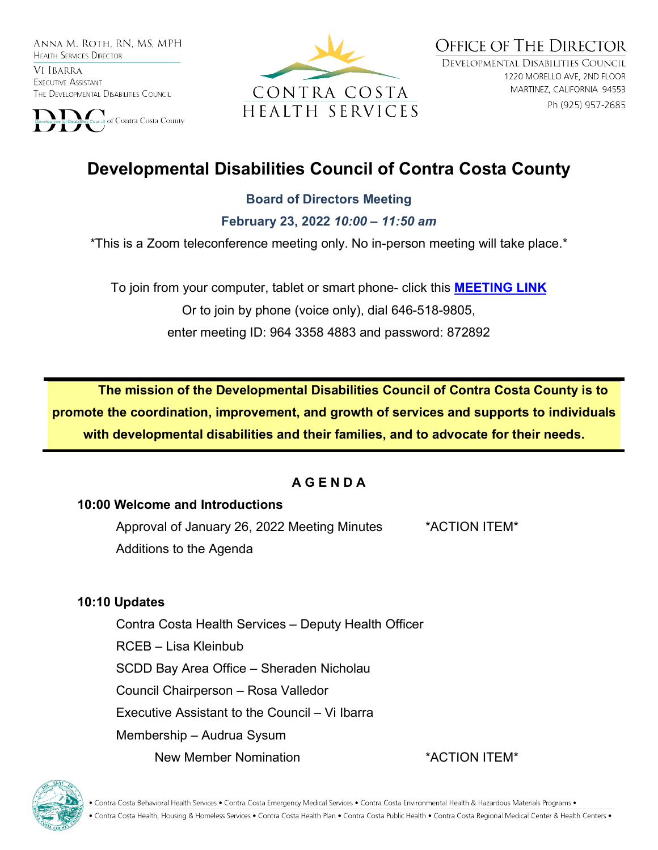ANNA M. ROTH. RN. MS. MPH **HEALTH SERVICES DIRECTOR** 

VI IBARRA EXECUTIVE ASSISTANT THE DEVELOPMENTAL DISABILITIES COUNCIL





**OFFICE OF THE DIRECTOR** DEVELOPMENTAL DISABILITIES COUNCIL 1220 MORELLO AVE, 2ND FLOOR MARTINEZ, CALIFORNIA 94553 Ph (925) 957-2685

# **Developmental Disabilities Council of Contra Costa County**

#### **Board of Directors Meeting**

**February 23, 2022** *10:00 – 11:50 am*

\*This is a Zoom teleconference meeting only. No in-person meeting will take place.\*

To join from your computer, tablet or smart phone- click this **[MEETING LINK](https://cchealth.zoom.us/j/96433584883?pwd=bEtCdk9wM0NyZHFVaVl0N3U3Rm1mQT09)** Or to join by phone (voice only), dial 646-518-9805, enter meeting ID: 964 3358 4883 and password: 872892

**The mission of the Developmental Disabilities Council of Contra Costa County is to promote the coordination, improvement, and growth of services and supports to individuals with developmental disabilities and their families, and to advocate for their needs.** 

## **A G E N D A**

#### **10:00 Welcome and Introductions**

Approval of January 26, 2022 Meeting Minutes \*ACTION ITEM\* Additions to the Agenda

#### **10:10 Updates**

Contra Costa Health Services – Deputy Health Officer RCEB – Lisa Kleinbub SCDD Bay Area Office – Sheraden Nicholau Council Chairperson – Rosa Valledor Executive Assistant to the Council – Vi Ibarra Membership – Audrua Sysum New Member Nomination \*ACTION ITEM\*





• Contra Costa Behavioral Health Services • Contra Costa Emergency Medical Services • Contra Costa Environmental Health & Hazardous Materials Programs • • Contra Costa Health, Housing & Homeless Services • Contra Costa Health Plan • Contra Costa Public Health • Contra Costa Regional Medical Center & Health Centers •